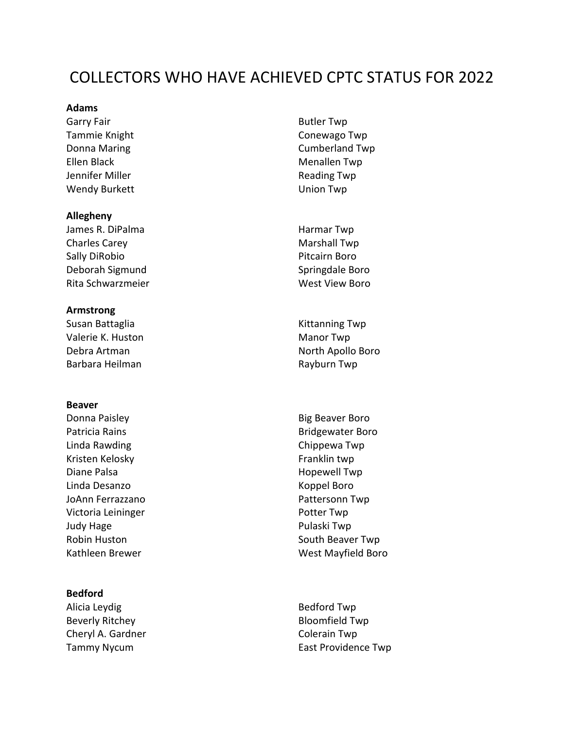# COLLECTORS WHO HAVE ACHIEVED CPTC STATUS FOR 2022

# **Adams**

Garry Fair **Butler Twp** Tammie Knight Conewago Twp Ellen Black Menallen Twp Jennifer Miller **Nights and Struth Twp** Reading Twp Wendy Burkett **Union Twp** 

#### **Allegheny**

James R. DiPalma **Harmar Twp** Charles Carey **Marshall Twp** Sally DiRobio **Pitcairn Boro** Deborah Sigmund Springdale Boro Rita Schwarzmeier West View Boro

## **Armstrong**

Susan Battaglia Kittanning Twp Valerie K. Huston Manor Twp Barbara Heilman **Rayburn Twp** 

# **Beaver**

Donna Paisley **Big Beaver Boro** Big Beaver Boro Patricia Rains **Bridgewater Boro** Linda Rawding Two Chippewa Twp Kristen Kelosky **Franklin** twp Diane Palsa **Hopewell Twp** Linda Desanzo Koppel Boro JoAnn Ferrazzano **Pattersonn Twp** Victoria Leininger **Potter Twp** Judy Hage **Pulaski Twp** 

# **Bedford**

Alicia Leydig **Bedford Twp** Beverly Ritchey **Bloomfield Twp** Cheryl A. Gardner Cheryl A. Gardner Colerain Twp

Donna Maring **Cumberland Twp** 

Debra Artman North Apollo Boro

Robin Huston **National Community Contract Community** South Beaver Twp Kathleen Brewer Nessen and Mest Mayfield Boro

Tammy Nycum **East Providence Twp**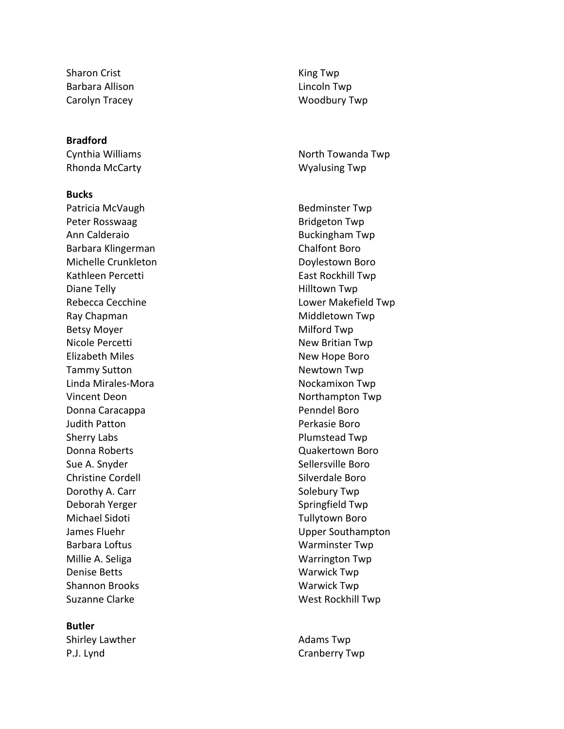Sharon Crist **King Twp** Barbara Allison **Lincoln** Twp

#### **Bradford**

Rhonda McCarty **Wyalusing Twp** 

#### **Bucks**

Patricia McVaugh Bedminster Twp Peter Rosswaag and Bridgeton Twp Ann Calderaio **Buckingham Twp** Barbara Klingerman Chalfont Boro Michelle Crunkleton **Doylestown** Boro Kathleen Percetti **East Rockhill Twp** Diane Telly **Nights Contract Contract Contract Contract Contract Contract Contract Contract Contract Contract Contract Contract Contract Contract Contract Contract Contract Contract Contract Contract Contract Contract Co** Ray Chapman Middletown Twp Betsy Moyer **Milford Twp** Nicole Percetti **New Britian Twp** Elizabeth Miles **New Hope Boro** Tammy Sutton Newtown Twp Linda Mirales Vincent Deon Northampton Twp Donna Caracappa **Penndel Boro** Judith Patton **Perkasie Boro** Sherry Labs **Plumstead Twp** Donna Roberts **Construction Construction Construction Construction Construction Construction Construction Construction Construction Construction Construction Construction Construction Construction Construction Construction** Sue A. Snyder Sue A. Snyder Sellersville Boro Christine Cordell **Silverdale Boro** Dorothy A. Carr Solebury Twp Deborah Yerger Springfield Twp Michael Sidoti **Tullytown Boro** Barbara Loftus **Machina Research Contract Contract Contract Contract Contract Contract Contract Contract Contract Contract Contract Contract Contract Contract Contract Contract Contract Contract Contract Contract Contract** Millie A. Seliga National Assemblance Contract Contract Contract Contract Contract Contract Contract Contract Contract Contract Contract Contract Contract Contract Contract Contract Contract Contract Contract Contract Cont Denise Betts Warwick Twp Shannon Brooks Warwick Twp Suzanne Clarke West Rockhill Twp

### **Butler**

Shirley Lawther **Adams** Twp P.J. Lynd Cranberry Twp

Carolyn Tracey Woodbury Twp

Cynthia Williams **North Towanda Twp** 

Rebecca Cecchine **Lower Makefield Twp** Nockamixon Twp James Fluehr **Upper Southampton**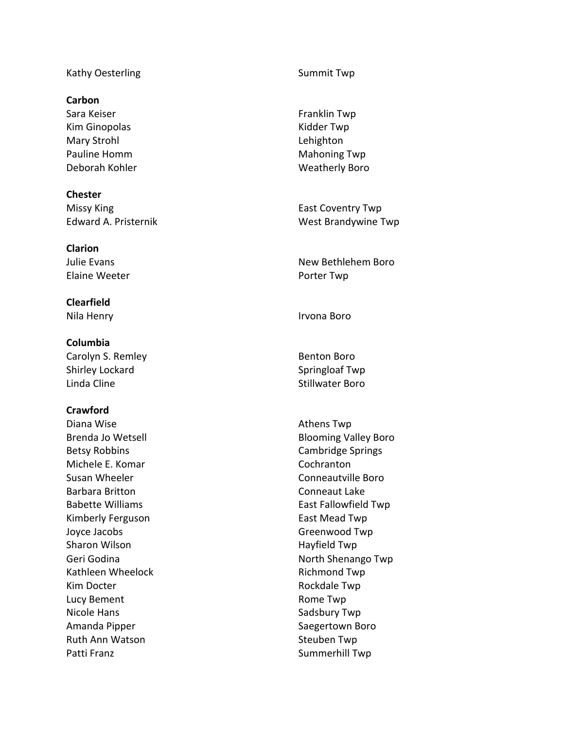## Kathy Oesterling Two Summit Twp

# **Carbon**

Sara Keiser Franklin Twp Kim Ginopolas **Kidder Twp** Mary Strohl **Lehighton** Pauline Homm Mahoning Twp

**Chester** Missy King **East Coventry Twp** 

**Clarion** Elaine Weeter **Porter Twp** 

**Clearfield** Nila Henry **Irvona Boro** 

**Columbia** Carolyn S. Remley **Benton Boro** Shirley Lockard Shirley Lockard Springloaf Twp Linda Cline **Stillwater Boro** 

# **Crawford**

Diana Wise **Athens Twp CONS** Betsy Robbins **Cambridge Springs** Michele E. Komar Cochranton Susan Wheeler **Conneautville Boro** Barbara Britton **Conneaut Lake** Kimberly Ferguson **East Mead Twp** Joyce Jacobs **Greenwood Twp** Sharon Wilson **Hayfield Twp** Kathleen Wheelock **Richmond Twp** Kim Docter **Rockdale Twp** Lucy Bement **Rome Twp** Nicole Hans **Nicole Hans** Sadsbury Twp Amanda Pipper Saegertown Boro Ruth Ann Watson Steuben Twp Patti Franz **Summerhill Twp** 

Deborah Kohler Weatherly Boro

Edward A. Pristernik West Brandywine Twp

Julie Evans New Bethlehem Boro

Brenda Jo Wetsell **Blooming Valley Boro** Babette Williams **East Fallowfield Twp** Geri Godina **North Shenango Twp**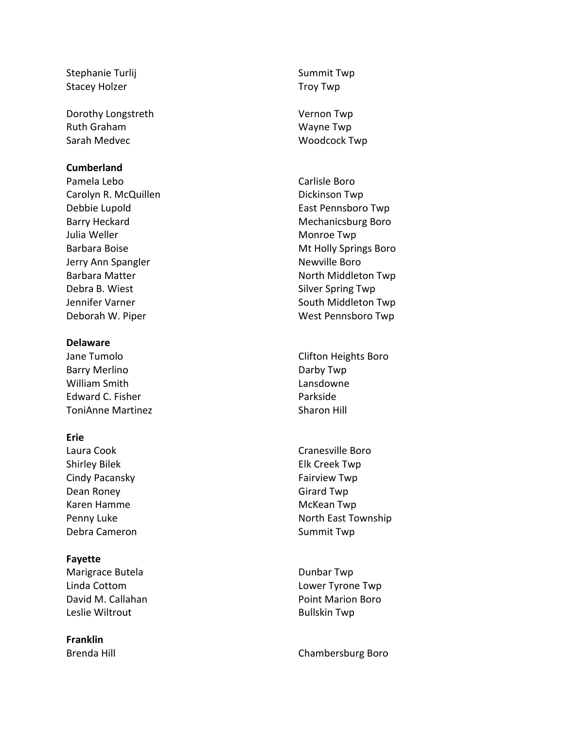Stephanie Turlij Stephanie Turlij Summit Twp Stacey Holzer Troy Twp

Dorothy Longstreth Vernon Twp Ruth Graham Wayne Twp Sarah Medvec Woodcock Twp

## **Cumberland**

Pamela Lebo **Carlisle Boro** Carolyn R. McQuillen **Dickinson** Twp Debbie Lupold East Pennsboro Twp Julia Weller **Monroe Twp** Jerry Ann Spangler Newville Boro Debra B. Wiest Silver Spring Twp

#### **Delaware**

Barry Merlino **Darby Twp** William Smith **Lansdowne** Edward C. Fisher **Parkside** ToniAnne Martinez **Sharon Hill** 

# **Erie**

Shirley Bilek **Elk Creek Twp** Cindy Pacansky **Fairview Twp** Dean Roney **Girard Twp** Karen Hamme McKean Twp Debra Cameron Summit Twp

## **Fayette**

Marigrace Butela **Dunbar Twp** Leslie Wiltrout **Bullskin** Twp

**Franklin**

Barry Heckard **Mechanicsburg Boro** Mechanicsburg Boro Barbara Boise **Mt Holly Springs Boro** Mt Holly Springs Boro Barbara Matter North Middleton Twp Jennifer Varner South Middleton Twp Deborah W. Piper West Pennsboro Twp

Jane Tumolo **Clifton Heights Boro** 

Laura Cook **Cranesville Boro** Penny Luke North East Township

Linda Cottom Lower Tyrone Twp David M. Callahan **Point Marion Boro** 

Brenda Hill **Brenda Hill** Chambersburg Boro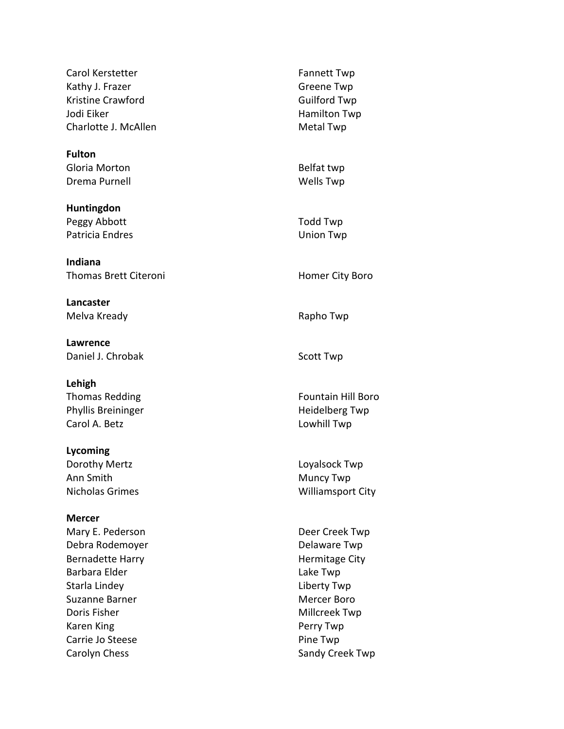Carol Kerstetter Fannett Twp Kathy J. Frazer Greene Twp Kristine Crawford **Guilford Twp** Jodi Eiker **Hamilton Twp** Charlotte J. McAllen Metal Twp

**Fulton** Gloria Morton **Belfat twp** Drema Purnell New York 1999 and New York Wells Twp

**Huntingdon** Peggy Abbott Todd Twp Patricia Endres **No. 2018** Union Twp

**Indiana** Thomas Brett Citeroni **Homer City Boro** 

**Lancaster** Melva Kready **Rapho Twp** 

**Lawrence** Daniel J. Chrobak Scott Twp

**Lehigh** Phyllis Breininger **Heidelberg Twp** Carol A. Betz **Lowhill Twp** 

**Lycoming** Dorothy Mertz **Loyalsock Twp** Ann Smith Muncy Twp

**Mercer** Mary E. Pederson **Deer Creek Twp** Debra Rodemoyer **Delaware Twp** Bernadette Harry **Hermitage City** Barbara Elder **Lake Twp** Starla Lindey **Liberty Twp** Suzanne Barner Mercer Boro Doris Fisher Millcreek Twp Karen King **Perry Twp** Carrie Jo Steese **Pine Twp** Carolyn Chess **Sandy Creek Twp** 

Thomas Redding Fountain Hill Boro Nicholas Grimes **Milliamsport City**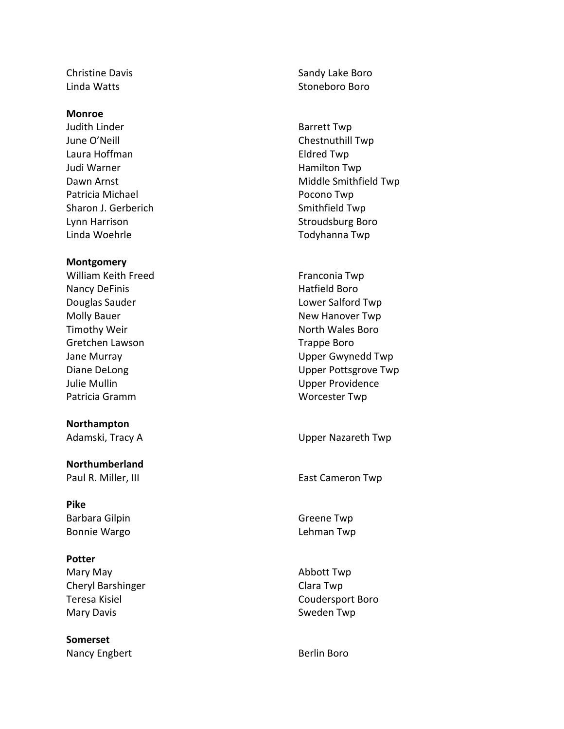#### **Monroe**

Judith Linder **Barrett Twp** June O'Neill **Chestnuthill Twp** Laura Hoffman **Eldred Twp** Judi Warner Namilton Twp Patricia Michael **Patricia Michael** Pocono Twp Sharon J. Gerberich Sharon J. Gerberich Smithfield Twp Lynn Harrison **Stroudsburg Boro** Linda Woehrle Todyhanna Twp

#### **Montgomery**

William Keith Freed Franconia Twp Nancy DeFinis **Hatfield Boro Douglas Sauder Lower Salford Twp** Molly Bauer New Hanover Twp Timothy Weir North Wales Boro Gretchen Lawson Trappe Boro Julie Mullin Upper Providence Patricia Gramm Worcester Twp

**Northampton**

**Northumberland**

**Pike** Barbara Gilpin Greene Twp Bonnie Wargo Lehman Twp

#### **Potter**

Mary May Abbott Twp Cheryl Barshinger Clara Twp Teresa Kisiel Coudersport Boro Mary Davis **Mary Davis** Sweden Twp

**Somerset** Nancy Engbert **Berlin Boro** Berlin Boro

Christine Davis **Sandy Lake Boro** Sandy Lake Boro Linda Watts **Stoneboro Boro** 

- Dawn Arnst **Middle Smithfield Twp**
- Jane Murray Upper Gwynedd Twp Diane DeLong Upper Pottsgrove Twp

Adamski, Tracy A Van America Company Adamski, Tracy A

Paul R. Miller, III **East Cameron Twp**